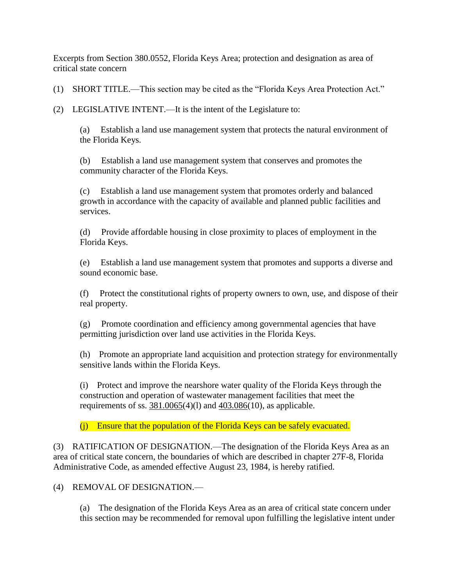Excerpts from Section 380.0552, Florida Keys Area; protection and designation as area of critical state concern

(1) SHORT TITLE.—This section may be cited as the "Florida Keys Area Protection Act."

(2) LEGISLATIVE INTENT.—It is the intent of the Legislature to:

(a) Establish a land use management system that protects the natural environment of the Florida Keys.

(b) Establish a land use management system that conserves and promotes the community character of the Florida Keys.

(c) Establish a land use management system that promotes orderly and balanced growth in accordance with the capacity of available and planned public facilities and services.

(d) Provide affordable housing in close proximity to places of employment in the Florida Keys.

(e) Establish a land use management system that promotes and supports a diverse and sound economic base.

(f) Protect the constitutional rights of property owners to own, use, and dispose of their real property.

(g) Promote coordination and efficiency among governmental agencies that have permitting jurisdiction over land use activities in the Florida Keys.

(h) Promote an appropriate land acquisition and protection strategy for environmentally sensitive lands within the Florida Keys.

(i) Protect and improve the nearshore water quality of the Florida Keys through the construction and operation of wastewater management facilities that meet the requirements of ss. [381.0065\(](http://www.leg.state.fl.us/statutes/index.cfm?App_mode=Display_Statute&Search_String=&URL=0300-0399/0381/Sections/0381.0065.html)4)(l) and [403.086\(](http://www.leg.state.fl.us/statutes/index.cfm?App_mode=Display_Statute&Search_String=&URL=0400-0499/0403/Sections/0403.086.html)10), as applicable.

(j) Ensure that the population of the Florida Keys can be safely evacuated.

(3) RATIFICATION OF DESIGNATION.—The designation of the Florida Keys Area as an area of critical state concern, the boundaries of which are described in chapter 27F-8, Florida Administrative Code, as amended effective August 23, 1984, is hereby ratified.

(4) REMOVAL OF DESIGNATION.—

(a) The designation of the Florida Keys Area as an area of critical state concern under this section may be recommended for removal upon fulfilling the legislative intent under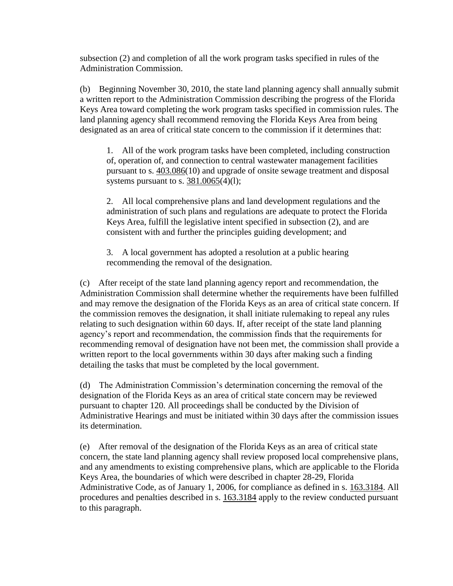subsection (2) and completion of all the work program tasks specified in rules of the Administration Commission.

(b) Beginning November 30, 2010, the state land planning agency shall annually submit a written report to the Administration Commission describing the progress of the Florida Keys Area toward completing the work program tasks specified in commission rules. The land planning agency shall recommend removing the Florida Keys Area from being designated as an area of critical state concern to the commission if it determines that:

1. All of the work program tasks have been completed, including construction of, operation of, and connection to central wastewater management facilities pursuant to s. [403.086\(](http://www.leg.state.fl.us/statutes/index.cfm?App_mode=Display_Statute&Search_String=&URL=0400-0499/0403/Sections/0403.086.html)10) and upgrade of onsite sewage treatment and disposal systems pursuant to s.  $381.0065(4)(l)$ ;

2. All local comprehensive plans and land development regulations and the administration of such plans and regulations are adequate to protect the Florida Keys Area, fulfill the legislative intent specified in subsection (2), and are consistent with and further the principles guiding development; and

3. A local government has adopted a resolution at a public hearing recommending the removal of the designation.

(c) After receipt of the state land planning agency report and recommendation, the Administration Commission shall determine whether the requirements have been fulfilled and may remove the designation of the Florida Keys as an area of critical state concern. If the commission removes the designation, it shall initiate rulemaking to repeal any rules relating to such designation within 60 days. If, after receipt of the state land planning agency's report and recommendation, the commission finds that the requirements for recommending removal of designation have not been met, the commission shall provide a written report to the local governments within 30 days after making such a finding detailing the tasks that must be completed by the local government.

(d) The Administration Commission's determination concerning the removal of the designation of the Florida Keys as an area of critical state concern may be reviewed pursuant to chapter 120. All proceedings shall be conducted by the Division of Administrative Hearings and must be initiated within 30 days after the commission issues its determination.

(e) After removal of the designation of the Florida Keys as an area of critical state concern, the state land planning agency shall review proposed local comprehensive plans, and any amendments to existing comprehensive plans, which are applicable to the Florida Keys Area, the boundaries of which were described in chapter 28-29, Florida Administrative Code, as of January 1, 2006, for compliance as defined in s. [163.3184.](http://www.leg.state.fl.us/statutes/index.cfm?App_mode=Display_Statute&Search_String=&URL=0100-0199/0163/Sections/0163.3184.html) All procedures and penalties described in s. [163.3184](http://www.leg.state.fl.us/statutes/index.cfm?App_mode=Display_Statute&Search_String=&URL=0100-0199/0163/Sections/0163.3184.html) apply to the review conducted pursuant to this paragraph.